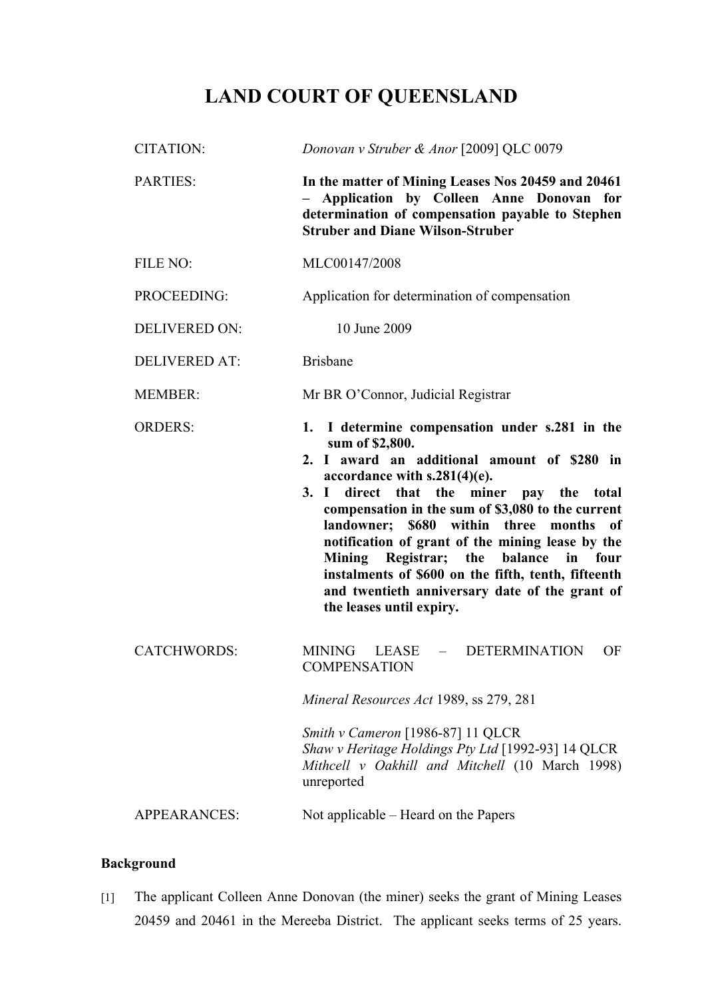# **LAND COURT OF QUEENSLAND**

| <b>CITATION:</b>     | Donovan v Struber & Anor [2009] QLC 0079                                                                                                                                                                                                                                                                                                |
|----------------------|-----------------------------------------------------------------------------------------------------------------------------------------------------------------------------------------------------------------------------------------------------------------------------------------------------------------------------------------|
| <b>PARTIES:</b>      | In the matter of Mining Leases Nos 20459 and 20461<br>Application by Colleen Anne Donovan for<br>determination of compensation payable to Stephen<br><b>Struber and Diane Wilson-Struber</b>                                                                                                                                            |
| FILE NO:             | MLC00147/2008                                                                                                                                                                                                                                                                                                                           |
| PROCEEDING:          | Application for determination of compensation                                                                                                                                                                                                                                                                                           |
| <b>DELIVERED ON:</b> | 10 June 2009                                                                                                                                                                                                                                                                                                                            |
| <b>DELIVERED AT:</b> | <b>Brisbane</b>                                                                                                                                                                                                                                                                                                                         |
| <b>MEMBER:</b>       | Mr BR O'Connor, Judicial Registrar                                                                                                                                                                                                                                                                                                      |
| <b>ORDERS:</b>       | 1. I determine compensation under s.281 in the<br>sum of \$2,800.<br>2. I award an additional amount of \$280 in<br>accordance with $s.281(4)(e)$ .<br>3. I<br>direct that the miner pay the total                                                                                                                                      |
|                      | compensation in the sum of \$3,080 to the current<br>landowner;<br>\$680 within three<br>months<br>of<br>notification of grant of the mining lease by the<br>Mining Registrar; the balance in four<br>instalments of \$600 on the fifth, tenth, fifteenth<br>and twentieth anniversary date of the grant of<br>the leases until expiry. |
| <b>CATCHWORDS:</b>   | MINING<br>- DETERMINATION<br>OF<br>LEASE<br><b>COMPENSATION</b>                                                                                                                                                                                                                                                                         |
|                      | Mineral Resources Act 1989, ss 279, 281                                                                                                                                                                                                                                                                                                 |
|                      | Smith v Cameron [1986-87] 11 QLCR<br>Shaw v Heritage Holdings Pty Ltd [1992-93] 14 QLCR<br>Mithcell v Oakhill and Mitchell (10 March 1998)<br>unreported                                                                                                                                                                                |

## **Background**

[1] The applicant Colleen Anne Donovan (the miner) seeks the grant of Mining Leases 20459 and 20461 in the Mereeba District. The applicant seeks terms of 25 years.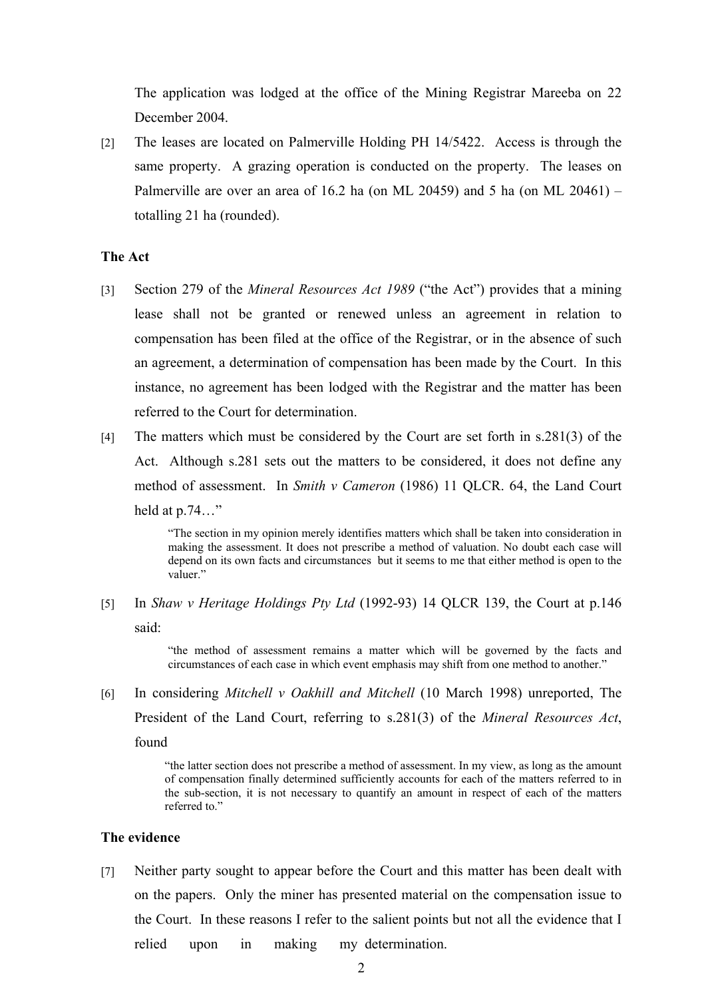The application was lodged at the office of the Mining Registrar Mareeba on 22 December 2004.

[2] The leases are located on Palmerville Holding PH 14/5422. Access is through the same property. A grazing operation is conducted on the property. The leases on Palmerville are over an area of 16.2 ha (on ML 20459) and 5 ha (on ML 20461) – totalling 21 ha (rounded).

## **The Act**

- [3] Section 279 of the *Mineral Resources Act 1989* ("the Act") provides that a mining lease shall not be granted or renewed unless an agreement in relation to compensation has been filed at the office of the Registrar, or in the absence of such an agreement, a determination of compensation has been made by the Court. In this instance, no agreement has been lodged with the Registrar and the matter has been referred to the Court for determination.
- [4] The matters which must be considered by the Court are set forth in s.281(3) of the Act. Although s.281 sets out the matters to be considered, it does not define any method of assessment. In *Smith v Cameron* (1986) 11 QLCR. 64, the Land Court held at p.74…"

"The section in my opinion merely identifies matters which shall be taken into consideration in making the assessment. It does not prescribe a method of valuation. No doubt each case will depend on its own facts and circumstances but it seems to me that either method is open to the valuer."

[5] In *Shaw v Heritage Holdings Pty Ltd* (1992-93) 14 QLCR 139, the Court at p.146 said:

> "the method of assessment remains a matter which will be governed by the facts and circumstances of each case in which event emphasis may shift from one method to another."

[6] In considering *Mitchell v Oakhill and Mitchell* (10 March 1998) unreported, The President of the Land Court, referring to s.281(3) of the *Mineral Resources Act*, found

"the latter section does not prescribe a method of assessment. In my view, as long as the amount of compensation finally determined sufficiently accounts for each of the matters referred to in the sub-section, it is not necessary to quantify an amount in respect of each of the matters referred to."

## **The evidence**

[7] Neither party sought to appear before the Court and this matter has been dealt with on the papers. Only the miner has presented material on the compensation issue to the Court. In these reasons I refer to the salient points but not all the evidence that I relied upon in making my determination.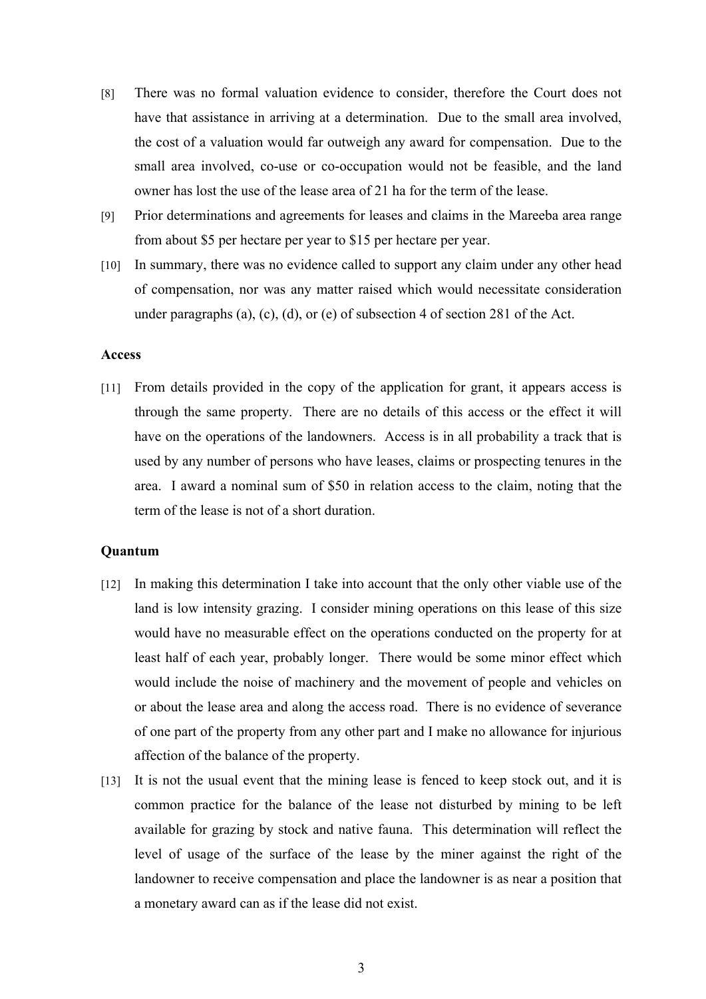- [8] There was no formal valuation evidence to consider, therefore the Court does not have that assistance in arriving at a determination. Due to the small area involved, the cost of a valuation would far outweigh any award for compensation. Due to the small area involved, co-use or co-occupation would not be feasible, and the land owner has lost the use of the lease area of 21 ha for the term of the lease.
- [9] Prior determinations and agreements for leases and claims in the Mareeba area range from about \$5 per hectare per year to \$15 per hectare per year.
- [10] In summary, there was no evidence called to support any claim under any other head of compensation, nor was any matter raised which would necessitate consideration under paragraphs (a), (c), (d), or (e) of subsection 4 of section 281 of the Act.

#### **Access**

[11] From details provided in the copy of the application for grant, it appears access is through the same property. There are no details of this access or the effect it will have on the operations of the landowners. Access is in all probability a track that is used by any number of persons who have leases, claims or prospecting tenures in the area. I award a nominal sum of \$50 in relation access to the claim, noting that the term of the lease is not of a short duration.

#### **Quantum**

- [12] In making this determination I take into account that the only other viable use of the land is low intensity grazing. I consider mining operations on this lease of this size would have no measurable effect on the operations conducted on the property for at least half of each year, probably longer. There would be some minor effect which would include the noise of machinery and the movement of people and vehicles on or about the lease area and along the access road. There is no evidence of severance of one part of the property from any other part and I make no allowance for injurious affection of the balance of the property.
- [13] It is not the usual event that the mining lease is fenced to keep stock out, and it is common practice for the balance of the lease not disturbed by mining to be left available for grazing by stock and native fauna. This determination will reflect the level of usage of the surface of the lease by the miner against the right of the landowner to receive compensation and place the landowner is as near a position that a monetary award can as if the lease did not exist.